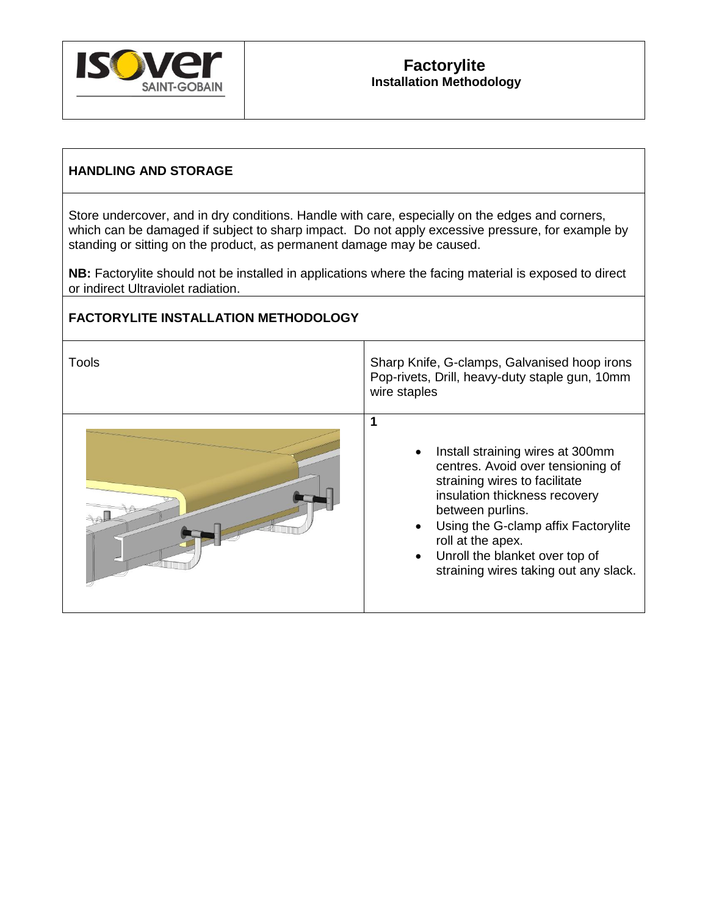

#### **HANDLING AND STORAGE**

Store undercover, and in dry conditions. Handle with care, especially on the edges and corners, which can be damaged if subject to sharp impact. Do not apply excessive pressure, for example by standing or sitting on the product, as permanent damage may be caused.

**NB:** Factorylite should not be installed in applications where the facing material is exposed to direct or indirect Ultraviolet radiation.

## **FACTORYLITE INSTALLATION METHODOLOGY**

| Tools | Sharp Knife, G-clamps, Galvanised hoop irons<br>Pop-rivets, Drill, heavy-duty staple gun, 10mm<br>wire staples                                                                                                                                                                                     |
|-------|----------------------------------------------------------------------------------------------------------------------------------------------------------------------------------------------------------------------------------------------------------------------------------------------------|
|       | Install straining wires at 300mm<br>centres. Avoid over tensioning of<br>straining wires to facilitate<br>insulation thickness recovery<br>between purlins.<br>Using the G-clamp affix Factorylite<br>roll at the apex.<br>Unroll the blanket over top of<br>straining wires taking out any slack. |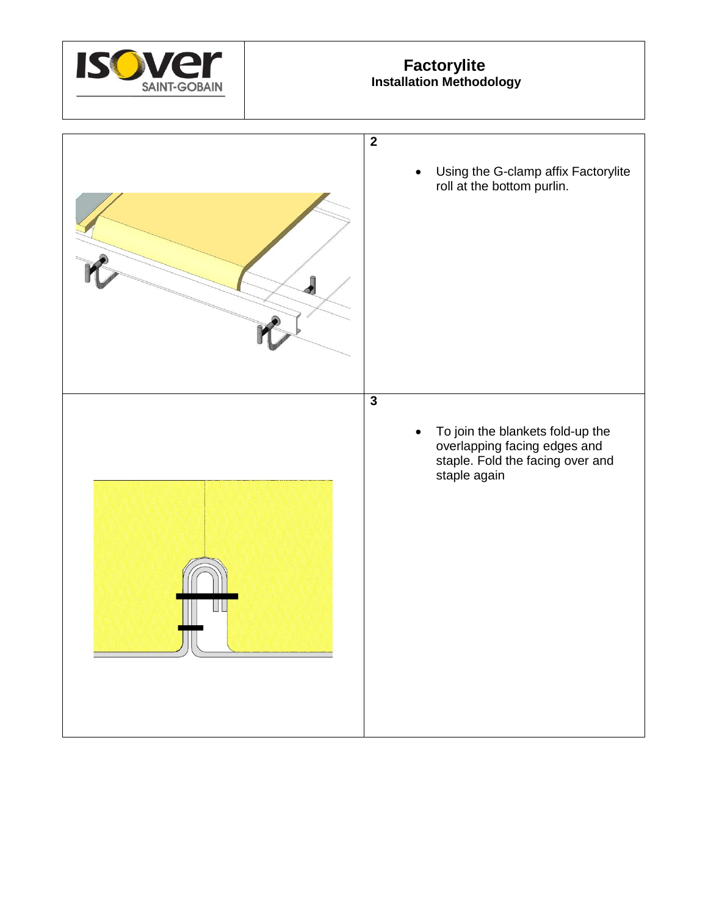

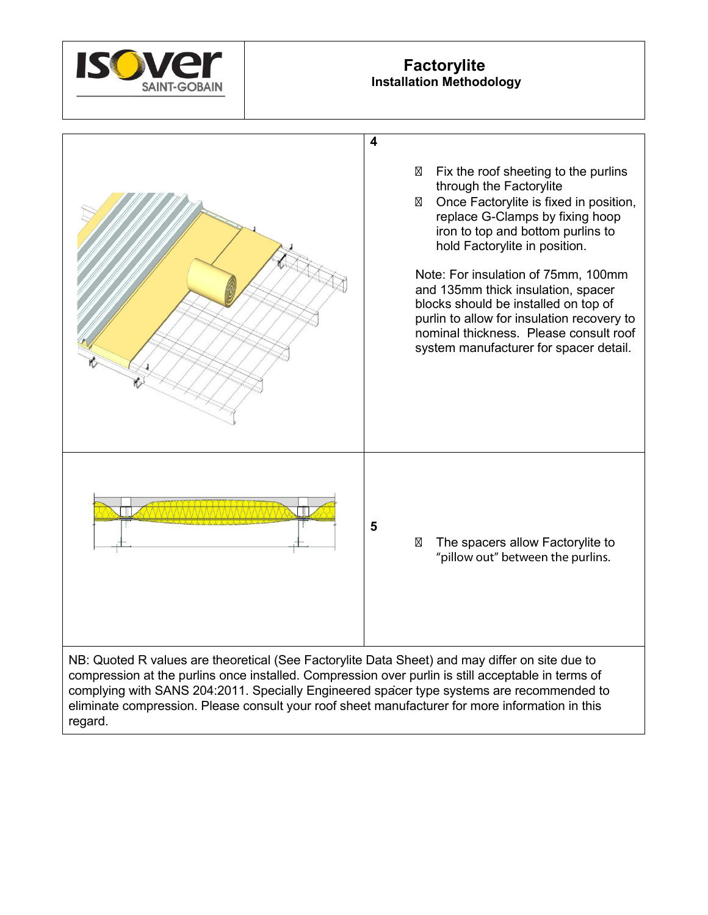